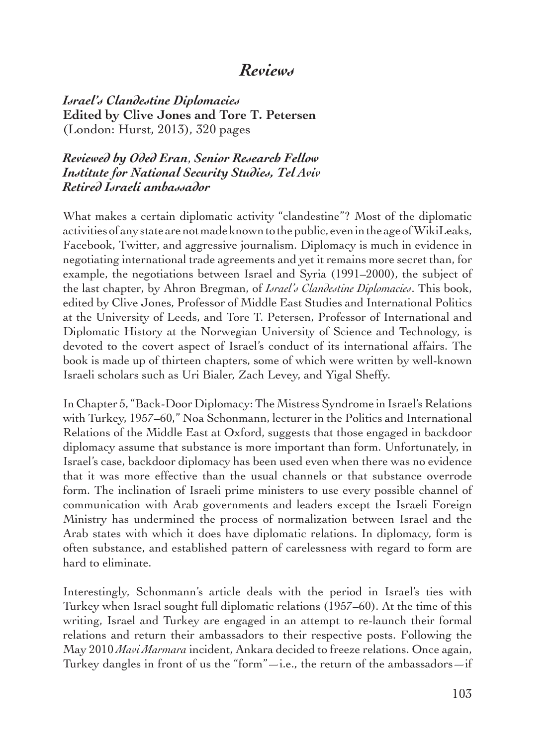## *Reviews*

*Israel's Clandestine Diplomacies* **Edited by Clive Jones and Tore T. Petersen** (London: Hurst, 2013), 320 pages

## *Reviewed by Oded Eran*, *Senior Research Fellow Institute for National Security Studies, Tel Aviv Retired Israeli ambassador*

What makes a certain diplomatic activity "clandestine"? Most of the diplomatic activitiesof anystate arenotmadeknowntothepublic, eveninthe ageofWikiLeaks, Facebook, Twitter, and aggressive journalism. Diplomacy is much in evidence in negotiating international trade agreements and yet it remains more secret than, for example, the negotiations between Israel and Syria (1991–2000), the subject of the last chapter, by Ahron Bregman, of *Israel's Clandestine Diplomacies*. This book, edited by Clive Jones, Professor of Middle East Studies and International Politics at the University of Leeds, and Tore T. Petersen, Professor of International and Diplomatic History at the Norwegian University of Science and Technology, is devoted to the covert aspect of Israel's conduct of its international affairs. The book is made up of thirteen chapters, some of which were written by well-known Israeli scholars such as Uri Bialer, Zach Levey, and Yigal Sheffy.

In Chapter 5, "Back-Door Diplomacy: The Mistress Syndrome in Israel's Relations with Turkey, 1957–60," Noa Schonmann, lecturer in the Politics and International Relations of the Middle East at Oxford, suggests that those engaged in backdoor diplomacy assume that substance is more important than form. Unfortunately, in Israel's case, backdoor diplomacy has been used even when there was no evidence that it was more effective than the usual channels or that substance overrode form. The inclination of Israeli prime ministers to use every possible channel of communication with Arab governments and leaders except the Israeli Foreign Ministry has undermined the process of normalization between Israel and the Arab states with which it does have diplomatic relations. In diplomacy, form is often substance, and established pattern of carelessness with regard to form are hard to eliminate.

Interestingly, Schonmann's article deals with the period in Israel's ties with Turkey when Israel sought full diplomatic relations (1957–60). At the time of this writing, Israel and Turkey are engaged in an attempt to re-launch their formal relations and return their ambassadors to their respective posts. Following the May 2010 *Mavi Marmara* incident, Ankara decided to freeze relations. Once again, Turkey dangles in front of us the "form"—i.e., the return of the ambassadors—if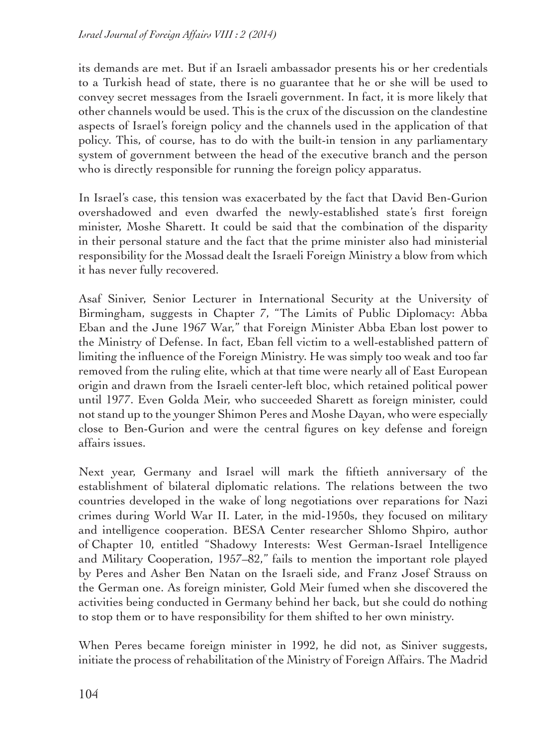its demands are met. But if an Israeli ambassador presents his or her credentials to a Turkish head of state, there is no guarantee that he or she will be used to convey secret messages from the Israeli government. In fact, it is more likely that other channels would be used. This is the crux of the discussion on the clandestine aspects of Israel's foreign policy and the channels used in the application of that policy. This, of course, has to do with the built-in tension in any parliamentary system of government between the head of the executive branch and the person who is directly responsible for running the foreign policy apparatus.

In Israel's case, this tension was exacerbated by the fact that David Ben-Gurion overshadowed and even dwarfed the newly-established state's first foreign minister, Moshe Sharett. It could be said that the combination of the disparity in their personal stature and the fact that the prime minister also had ministerial responsibility for the Mossad dealt the Israeli Foreign Ministry a blow from which it has never fully recovered.

Asaf Siniver, Senior Lecturer in International Security at the University of Birmingham, suggests in Chapter 7, "The Limits of Public Diplomacy: Abba Eban and the June 1967 War," that Foreign Minister Abba Eban lost power to the Ministry of Defense. In fact, Eban fell victim to a well-established pattern of limiting the influence of the Foreign Ministry. He was simply too weak and too far removed from the ruling elite, which at that time were nearly all of East European origin and drawn from the Israeli center-left bloc, which retained political power until 1977. Even Golda Meir, who succeeded Sharett as foreign minister, could not stand up to the younger Shimon Peres and Moshe Dayan, who were especially close to Ben-Gurion and were the central figures on key defense and foreign affairs issues.

Next year, Germany and Israel will mark the fiftieth anniversary of the establishment of bilateral diplomatic relations. The relations between the two countries developed in the wake of long negotiations over reparations for Nazi crimes during World War II. Later, in the mid-1950s, they focused on military and intelligence cooperation. BESA Center researcher Shlomo Shpiro, author of Chapter 10, entitled "Shadowy Interests: West German-Israel Intelligence and Military Cooperation, 1957–82," fails to mention the important role played by Peres and Asher Ben Natan on the Israeli side, and Franz Josef Strauss on the German one. As foreign minister, Gold Meir fumed when she discovered the activities being conducted in Germany behind her back, but she could do nothing to stop them or to have responsibility for them shifted to her own ministry.

When Peres became foreign minister in 1992, he did not, as Siniver suggests, initiate the process of rehabilitation of the Ministry of Foreign Affairs. The Madrid